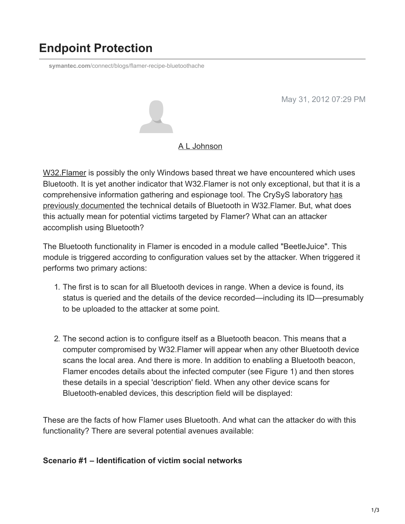# **Endpoint Protection**

**symantec.com**[/connect/blogs/flamer-recipe-bluetoothache](https://www.symantec.com/connect/blogs/flamer-recipe-bluetoothache)

May 31, 2012 07:29 PM



#### [A L Johnson](https://community.broadcom.com/symantecenterprise/network/members/profile?UserKey=cbd453fd-3ce1-4c47-af77-d746256f9bc4)

[W32.Flamer](http://www.symantec.com/security_response/writeup.jsp?docid=2012-052811-0308-99) is possibly the only Windows based threat we have encountered which uses Bluetooth. It is yet another indicator that W32.Flamer is not only exceptional, but that it is a [comprehensive information gathering and espionage tool. The CrySyS laboratory has](http://www.crysys.hu/skywiper/skywiper.pdf) previously documented the technical details of Bluetooth in W32.Flamer. But, what does this actually mean for potential victims targeted by Flamer? What can an attacker accomplish using Bluetooth?

The Bluetooth functionality in Flamer is encoded in a module called "BeetleJuice". This module is triggered according to configuration values set by the attacker. When triggered it performs two primary actions:

- 1. The first is to scan for all Bluetooth devices in range. When a device is found, its status is queried and the details of the device recorded—including its ID—presumably to be uploaded to the attacker at some point.
- 2. The second action is to configure itself as a Bluetooth beacon. This means that a computer compromised by W32.Flamer will appear when any other Bluetooth device scans the local area. And there is more. In addition to enabling a Bluetooth beacon, Flamer encodes details about the infected computer (see Figure 1) and then stores these details in a special 'description' field. When any other device scans for Bluetooth-enabled devices, this description field will be displayed:

These are the facts of how Flamer uses Bluetooth. And what can the attacker do with this functionality? There are several potential avenues available:

### **Scenario #1 – Identification of victim social networks**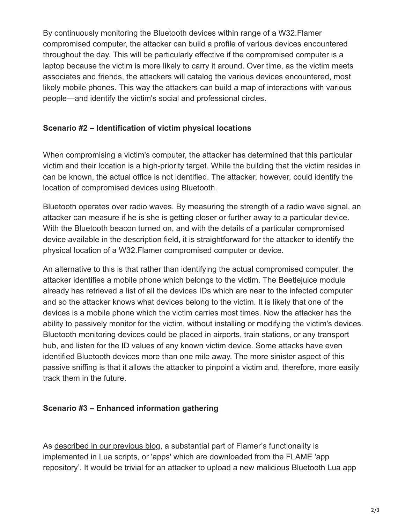By continuously monitoring the Bluetooth devices within range of a W32.Flamer compromised computer, the attacker can build a profile of various devices encountered throughout the day. This will be particularly effective if the compromised computer is a laptop because the victim is more likely to carry it around. Over time, as the victim meets associates and friends, the attackers will catalog the various devices encountered, most likely mobile phones. This way the attackers can build a map of interactions with various people—and identify the victim's social and professional circles.

## **Scenario #2 – Identification of victim physical locations**

When compromising a victim's computer, the attacker has determined that this particular victim and their location is a high-priority target. While the building that the victim resides in can be known, the actual office is not identified. The attacker, however, could identify the location of compromised devices using Bluetooth.

Bluetooth operates over radio waves. By measuring the strength of a radio wave signal, an attacker can measure if he is she is getting closer or further away to a particular device. With the Bluetooth beacon turned on, and with the details of a particular compromised device available in the description field, it is straightforward for the attacker to identify the physical location of a W32.Flamer compromised computer or device.

An alternative to this is that rather than identifying the actual compromised computer, the attacker identifies a mobile phone which belongs to the victim. The Beetlejuice module already has retrieved a list of all the devices IDs which are near to the infected computer and so the attacker knows what devices belong to the victim. It is likely that one of the devices is a mobile phone which the victim carries most times. Now the attacker has the ability to passively monitor for the victim, without installing or modifying the victim's devices. Bluetooth monitoring devices could be placed in airports, train stations, or any transport hub, and listen for the ID values of any known victim device. [Some attacks](http://www.tomsguide.com/us/how-to-bluesniper-pt1,review-408.html) have even identified Bluetooth devices more than one mile away. The more sinister aspect of this passive sniffing is that it allows the attacker to pinpoint a victim and, therefore, more easily track them in the future.

### **Scenario #3 – Enhanced information gathering**

As [described in our previous blog](https://community.broadcom.com/symantecenterprise/viewdocument?DocumentKey=eb9e7f9c-93ef-45ab-8cae-2edce8b4b8c2&CommunityKey=1ecf5f55-9545-44d6-b0f4-4e4a7f5f5e68&tab=librarydocuments), a substantial part of Flamer's functionality is implemented in Lua scripts, or 'apps' which are downloaded from the FLAME 'app repository'. It would be trivial for an attacker to upload a new malicious Bluetooth Lua app